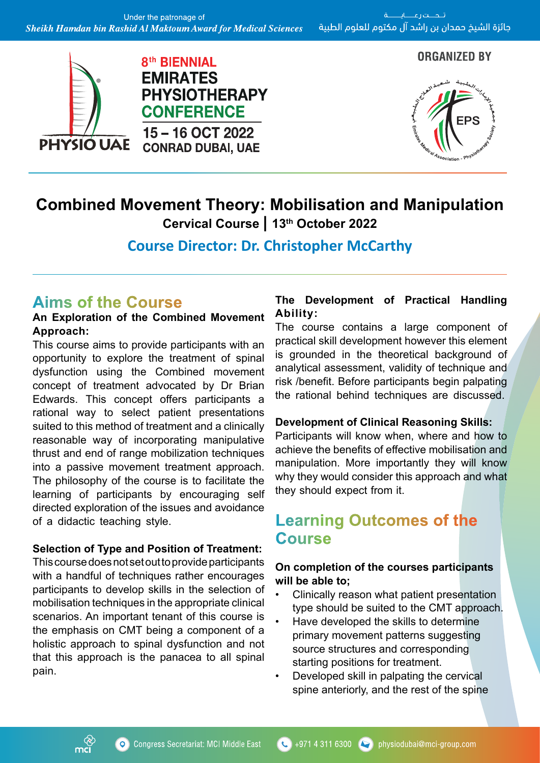

#### **ORGANIZED BY**



# **Combined Movement Theory: Mobilisation and Manipulation**

**Cervical Course | 13th October 2022**

**Course Director: Dr. Christopher McCarthy**

## **Aims of the Course**

#### **An Exploration of the Combined Movement Approach:**

This course aims to provide participants with an opportunity to explore the treatment of spinal dysfunction using the Combined movement concept of treatment advocated by Dr Brian Edwards. This concept offers participants a rational way to select patient presentations suited to this method of treatment and a clinically reasonable way of incorporating manipulative thrust and end of range mobilization techniques into a passive movement treatment approach. The philosophy of the course is to facilitate the learning of participants by encouraging self directed exploration of the issues and avoidance of a didactic teaching style.

#### **Selection of Type and Position of Treatment:**

This course does not set out to provide participants with a handful of techniques rather encourages participants to develop skills in the selection of mobilisation techniques in the appropriate clinical scenarios. An important tenant of this course is the emphasis on CMT being a component of a holistic approach to spinal dysfunction and not that this approach is the panacea to all spinal pain.

## **The Development of Practical Handling Ability:**

The course contains a large component of practical skill development however this element is grounded in the theoretical background of analytical assessment, validity of technique and risk /benefit. Before participants begin palpating the rational behind techniques are discussed.

#### **Development of Clinical Reasoning Skills:**

Participants will know when, where and how to achieve the benefits of effective mobilisation and manipulation. More importantly they will know why they would consider this approach and what they should expect from it.

## **Learning Outcomes of the Course**

## **On completion of the courses participants will be able to;**

- Clinically reason what patient presentation type should be suited to the CMT approach.
- Have developed the skills to determine primary movement patterns suggesting source structures and corresponding starting positions for treatment.
- Developed skill in palpating the cervical spine anteriorly, and the rest of the spine

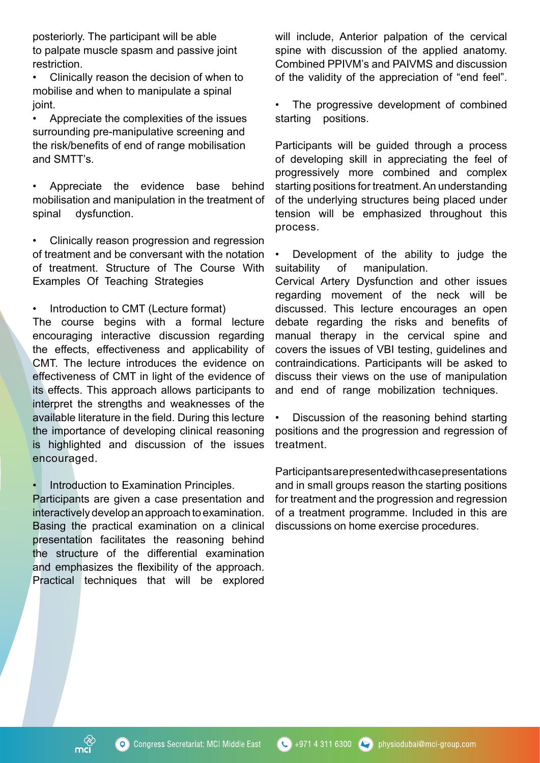posteriorly. The participant will be able to palpate muscle spasm and passive joint restriction.

• Clinically reason the decision of when to mobilise and when to manipulate a spinal joint.

• Appreciate the complexities of the issues surrounding pre-manipulative screening and the risk/benefits of end of range mobilisation and SMTT's.

• Appreciate the evidence base behind mobilisation and manipulation in the treatment of spinal dysfunction.

• Clinically reason progression and regression of treatment and be conversant with the notation of treatment. Structure of The Course With Examples Of Teaching Strategies

• Introduction to CMT (Lecture format)

The course begins with a formal lecture encouraging interactive discussion regarding the effects, effectiveness and applicability of CMT. The lecture introduces the evidence on effectiveness of CMT in light of the evidence of its effects. This approach allows participants to interpret the strengths and weaknesses of the available literature in the field. During this lecture the importance of developing clinical reasoning is highlighted and discussion of the issues encouraged.

• Introduction to Examination Principles.

Participants are given a case presentation and interactively develop an approach to examination. Basing the practical examination on a clinical presentation facilitates the reasoning behind the structure of the differential examination and emphasizes the flexibility of the approach. Practical techniques that will be explored will include, Anterior palpation of the cervical spine with discussion of the applied anatomy. Combined PPIVM's and PAIVMS and discussion of the validity of the appreciation of "end feel".

The progressive development of combined starting positions.

Participants will be guided through a process of developing skill in appreciating the feel of progressively more combined and complex starting positions for treatment. An understanding of the underlying structures being placed under tension will be emphasized throughout this process.

• Development of the ability to judge the suitability of manipulation.

Cervical Artery Dysfunction and other issues regarding movement of the neck will be discussed. This lecture encourages an open debate regarding the risks and benefits of manual therapy in the cervical spine and covers the issues of VBI testing, guidelines and contraindications. Participants will be asked to discuss their views on the use of manipulation and end of range mobilization techniques.

• Discussion of the reasoning behind starting positions and the progression and regression of treatment.

Participants are presented with case presentations and in small groups reason the starting positions for treatment and the progression and regression of a treatment programme. Included in this are discussions on home exercise procedures.

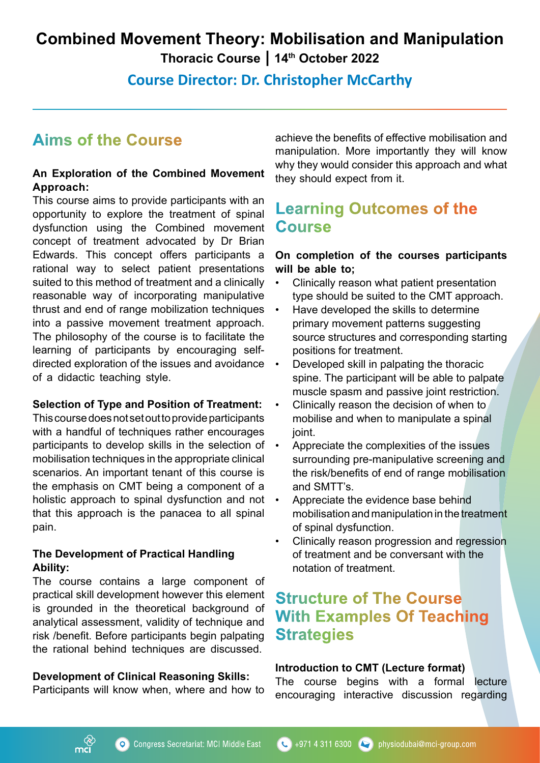# **Combined Movement Theory: Mobilisation and Manipulation**

**Thoracic Course | 14th October 2022**

**Course Director: Dr. Christopher McCarthy**

# **Aims of the Course**

#### **An Exploration of the Combined Movement Approach:**

This course aims to provide participants with an opportunity to explore the treatment of spinal dysfunction using the Combined movement concept of treatment advocated by Dr Brian Edwards. This concept offers participants a rational way to select patient presentations suited to this method of treatment and a clinically reasonable way of incorporating manipulative thrust and end of range mobilization techniques into a passive movement treatment approach. The philosophy of the course is to facilitate the learning of participants by encouraging selfdirected exploration of the issues and avoidance of a didactic teaching style.

#### **Selection of Type and Position of Treatment:**

This course does not set out to provide participants with a handful of techniques rather encourages participants to develop skills in the selection of mobilisation techniques in the appropriate clinical scenarios. An important tenant of this course is the emphasis on CMT being a component of a holistic approach to spinal dysfunction and not that this approach is the panacea to all spinal pain.

#### **The Development of Practical Handling Ability:**

The course contains a large component of practical skill development however this element is grounded in the theoretical background of analytical assessment, validity of technique and risk /benefit. Before participants begin palpating the rational behind techniques are discussed.

#### **Development of Clinical Reasoning Skills:**

Participants will know when, where and how to

achieve the benefits of effective mobilisation and manipulation. More importantly they will know why they would consider this approach and what they should expect from it.

## **Learning Outcomes of the Course**

## **On completion of the courses participants will be able to;**

- Clinically reason what patient presentation type should be suited to the CMT approach.
- Have developed the skills to determine primary movement patterns suggesting source structures and corresponding starting positions for treatment.
- Developed skill in palpating the thoracic spine. The participant will be able to palpate muscle spasm and passive joint restriction.
- Clinically reason the decision of when to mobilise and when to manipulate a spinal joint.
- Appreciate the complexities of the issues surrounding pre-manipulative screening and the risk/benefits of end of range mobilisation and SMTT's.
- Appreciate the evidence base behind mobilisation and manipulation in the treatment of spinal dysfunction.
- Clinically reason progression and regression of treatment and be conversant with the notation of treatment.

## **Structure of The Course With Examples Of Teaching Strategies**

#### **Introduction to CMT (Lecture format)**

The course begins with a formal lecture encouraging interactive discussion regarding